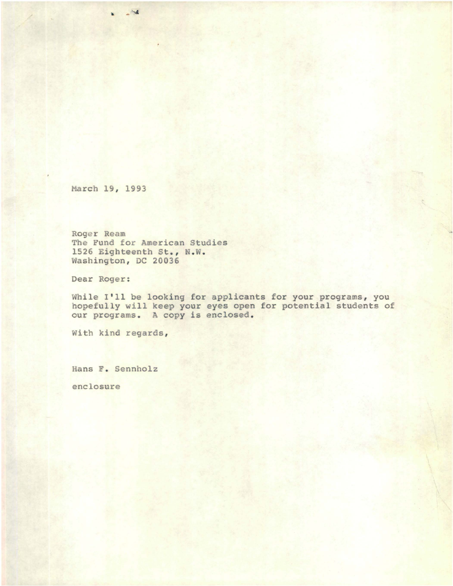March 19, 1993

..

Roger Ream The Fund for American Studies 1526 Eighteenth St., N.W. Washington, DC 20036

Dear Roger:

While I'll be looking for applicants for your programs, you hopefully will keep your eyes open for potential students of our programs. <sup>A</sup> copy is enclosed.

With kind regards,

Hans F. Sennholz

enclosure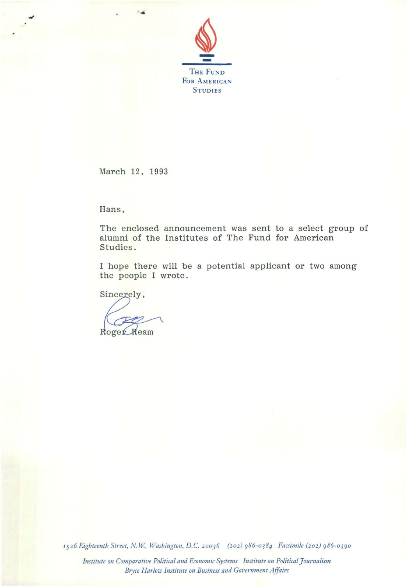

March 12, 1993

Hans,

The enclosed announcement was sent to a select group of alumni of the Institutes of The Fund for American Studies.

I hope there will be a potential applicant or two among the people I wrote.

Sincerely,

Roger Ream

*1526 Eighteenth Street,* N. *W, Washington, D.C. 20036 (202) 986-0384 Facsimile (202) 986-0390*